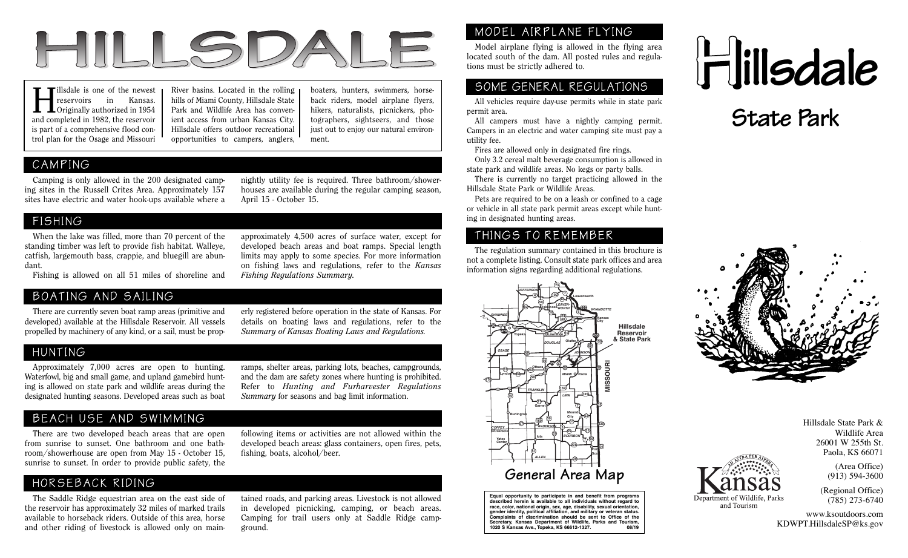

reservoirs in Kansas. Originally authorized in 1954 and completed in 1982, the reservoir is part of a comprehensive flood control plan for the Osage and Missouri

Tillsdale is one of the newest River basins. Located in the rolling boaters, hunters, swimmers, horse reservoirs in Kansas. hills of Miami County, Hillsdale State back riders, model airplane flyers, horse and which campers River basins. Located in the rolling hills of Miami County, Hillsdale State Park and Wildlife Area has convenient access from urban Kansas City. Hillsdale offers outdoor recreational opportunities to campers, anglers,

boaters, hunters, swimmers, horseback riders, model airplane flyers, hikers, naturalists, picnickers, photographers, sightseers, and those just out to enjoy our natural environment.

## CAMPING

 Camping is only allowed in the 200 designated camping sites in the Russell Crites Area. Approximately 157 sites have electric and water hook-ups available where a nightly utility fee is required. Three bathroom/showerhouses are available during the regular camping season, April 15 - October 15.

### FISHING

 When the lake was filled, more than 70 percent of the standing timber was left to provide fish habitat. Walleye, catfish, largemouth bass, crappie, and bluegill are abundant.

approximately 4,500 acres of surface water, except for developed beach areas and boat ramps. Special length limits may apply to some species. For more information on fishing laws and regulations, refer to the *Kansas Fishing Regulations Summary.*

Fishing is allowed on all 51 miles of shoreline and

### BOATING AND SAILING

 There are currently seven boat ramp areas (primitive and developed) available at the Hillsdale Reservoir. All vessels propelled by machinery of any kind, or a sail, must be properly registered before operation in the state of Kansas. For details on boating laws and regulations, refer to the *Summary of Kansas Boating Laws and Regulations.*

#### HUNTING

 Approximately 7,000 acres are open to hunting. Waterfowl, big and small game, and upland gamebird hunting is allowed on state park and wildlife areas during the designated hunting seasons. Developed areas such as boat

# BEACH USE AND SWIMMING

 There are two developed beach areas that are open from sunrise to sunset. One bathroom and one bathroom/showerhouse are open from May 15 - October 15, sunrise to sunset. In order to provide public safety, the

ramps, shelter areas, parking lots, beaches, campgrounds, and the dam are safety zones where hunting is prohibited. Refer to *Hunting and Furharvester Regulations Summary* for seasons and bag limit information.

following items or activities are not allowed within the developed beach areas: glass containers, open fires, pets, fishing, boats, alcohol/beer.

## HORSEBACK RIDING

 The Saddle Ridge equestrian area on the east side of the reservoir has approximately 32 miles of marked trails available to horseback riders. Outside of this area, horse and other riding of livestock is allowed only on maintained roads, and parking areas. Livestock is not allowed in developed picnicking, camping, or beach areas. Camping for trail users only at Saddle Ridge campground.

# MODEL AIRPLANE FLYING

 Model airplane flying is allowed in the flying area located south of the dam. All posted rules and regulations must be strictly adhered to.

## SOME GENERAL REGULATIONS

 All vehicles require day-use permits while in state park permit area.

 All campers must have a nightly camping permit. Campers in an electric and water camping site must pay a utility fee.

Fires are allowed only in designated fire rings.

 Only 3.2 cereal malt beverage consumption is allowed in state park and wildlife areas. No kegs or party balls.

 There is currently no target practicing allowed in the Hillsdale State Park or Wildlife Areas.

 Pets are required to be on a leash or confined to a cage or vehicle in all state park permit areas except while hunting in designated hunting areas.

#### THINGS TO REMEMBER

 The regulation summary contained in this brochure is not a complete listing. Consult state park offices and area information signs regarding additional regulations.



**Equal opportunity to participate in and benefit from programs described herein is available to all individuals without regard to** race, color, national origin, sex, age, disability, sexual orientation,<br>gender identity, political affiliation, and military or veteran status.<br>Complaints of discrimination should be sent to Office of the **Secretary, Kansas Department of Wildlife, Parks and Tourism,** 1020 S Kansas Ave., Topeka, KS 66612-1327.







(Area Office) (913) 594-3600 (Regional Office) (785) 273-6740

and Tourism

www.ksoutdoors.com KDWPT.HillsdaleSP@ks.gov